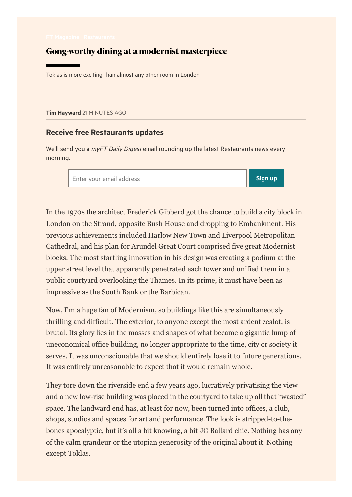## Gong-worthy dining at a modernist masterpiece

Toklas is more exciting than almost any other room in London

Tim [Hayward](https://www.ft.com/life-arts/tim-hayward) 21 MINUTES AGO

## Receive free Restaurants updates

We'll send you a *myFT Daily Digest* email rounding up the latest Restaurants news every morning.

Enter your email address and the sign up of the sign up of the sign up

In the 1970s the architect Frederick Gibberd got the chance to build a city block in London on the Strand, opposite Bush House and dropping to Embankment. His previous achievements included Harlow New Town and Liverpool Metropolitan Cathedral, and his plan for Arundel Great Court comprised five great Modernist blocks. The most startling innovation in his design was creating a podium at the upper street level that apparently penetrated each tower and unified them in a public courtyard overlooking the Thames. In its prime, it must have been as impressive as the South Bank or the Barbican.

Now, I'm a huge fan of Modernism, so buildings like this are simultaneously thrilling and difficult. The exterior, to anyone except the most ardent zealot, is brutal. Its glory lies in the masses and shapes of what became a gigantic lump of uneconomical office building, no longer appropriate to the time, city or society it serves. It was unconscionable that we should entirely lose it to future generations. It was entirely unreasonable to expect that it would remain whole.

They tore down the riverside end a few years ago, lucratively privatising the view and a new low-rise building was placed in the courtyard to take up all that "wasted" space. The landward end has, at least for now, been turned into offices, a club, shops, studios and spaces for art and performance. The look is stripped-to-thebones apocalyptic, but it's all a bit knowing, a bit JG Ballard chic. Nothing has any of the calm grandeur or the utopian generosity of the original about it. Nothing except Toklas.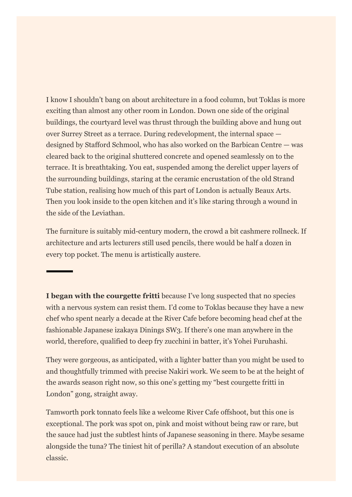I know I shouldn't bang on about architecture in a food column, but Toklas is more exciting than almost any other room in London. Down one side of the original buildings, the courtyard level was thrust through the building above and hung out over Surrey Street as a terrace. During redevelopment, the internal space designed by Stafford Schmool, who has also worked on the Barbican Centre — was cleared back to the original shuttered concrete and opened seamlessly on to the terrace. It is breathtaking. You eat, suspended among the derelict upper layers of the surrounding buildings, staring at the ceramic encrustation of the old Strand Tube station, realising how much of this part of London is actually Beaux Arts. Then you look inside to the open kitchen and it's like staring through a wound in the side of the Leviathan.

The furniture is suitably mid-century modern, the crowd a bit cashmere rollneck. If architecture and arts lecturers still used pencils, there would be half a dozen in every top pocket. The menu is artistically austere.

**I began with the courgette fritti** because I've long suspected that no species with a nervous system can resist them. I'd come to Toklas because they have a new chef who spent nearly a decade at the River Cafe before becoming head chef at the fashionable Japanese izakaya Dinings SW3. If there's one man anywhere in the world, therefore, qualified to deep fry zucchini in batter, it's Yohei Furuhashi.

They were gorgeous, as anticipated, with a lighter batter than you might be used to and thoughtfully trimmed with precise Nakiri work. We seem to be at the height of the awards season right now, so this one's getting my "best courgette fritti in London" gong, straight away.

Tamworth pork tonnato feels like a welcome River Cafe offshoot, but this one is exceptional. The pork was spot on, pink and moist without being raw or rare, but the sauce had just the subtlest hints of Japanese seasoning in there. Maybe sesame alongside the tuna? The tiniest hit of perilla? A standout execution of an absolute classic.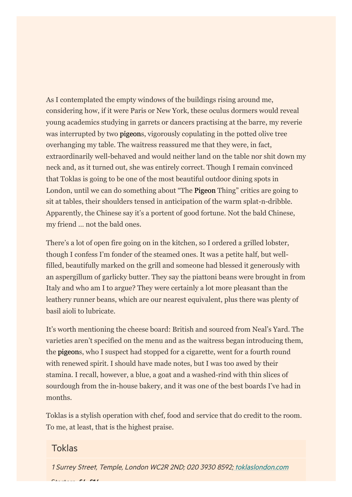As I contemplated the empty windows of the buildings rising around me, considering how, if it were Paris or New York, these oculus dormers would reveal young academics studying in garrets or dancers practising at the barre, my reverie was interrupted by two **pigeons**, vigorously copulating in the potted olive tree overhanging my table. The waitress reassured me that they were, in fact, extraordinarily well-behaved and would neither land on the table nor shit down my neck and, as it turned out, she was entirely correct. Though I remain convinced that Toklas is going to be one of the most beautiful outdoor dining spots in London, until we can do something about "The **Pigeon** Thing" critics are going to sit at tables, their shoulders tensed in anticipation of the warm splat-n-dribble. Apparently, the Chinese say it's a portent of good fortune. Not the bald Chinese, my friend … not the bald ones.

There's a lot of open fire going on in the kitchen, so I ordered a grilled lobster, though I confess I'm fonder of the steamed ones. It was a petite half, but wellfilled, beautifully marked on the grill and someone had blessed it generously with an aspergillum of garlicky butter. They say the piattoni beans were brought in from Italy and who am I to argue? They were certainly a lot more pleasant than the leathery runner beans, which are our nearest equivalent, plus there was plenty of basil aioli to lubricate.

It's worth mentioning the cheese board: British and sourced from Neal's Yard. The varieties aren't specified on the menu and as the waitress began introducing them, the pigeons, who I suspect had stopped for a cigarette, went for a fourth round with renewed spirit. I should have made notes, but I was too awed by their stamina. I recall, however, a blue, a goat and a washed-rind with thin slices of sourdough from the in-house bakery, and it was one of the best boards I've had in months.

Toklas is a stylish operation with chef, food and service that do credit to the room. To me, at least, that is the highest praise.

## Toklas

1 Surrey Street, Temple, London WC2R 2ND; 020 3930 8592; [toklaslondon.com](https://www.toklaslondon.com/)  $\mathbf{A}$